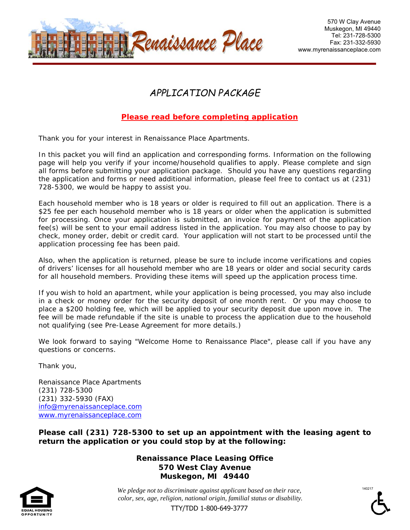

# *APPLICATION PACKAGE*

### *Please read before completing application*

*Thank you for your interest in Renaissance Place Apartments.* 

In this packet you will find an application and corresponding forms. Information on the following *page will help you verify if your income/household qualifies to apply. Please complete and sign all forms before submitting your application package. Should you have any questions regarding the application and forms or need additional information, please feel free to contact us at (231) 728-5300, we would be happy to assist you.* 

*Each household member who is 18 years or older is required to fill out an application. There is a \$25 fee per each household member who is 18 years or older when the application is submitted*  for processing. Once your application is submitted, an invoice for payment of the application *fee(s) will be sent to your email address listed in the application. You may also choose to pay by check, money order, debit or credit card. Your application will not start to be processed until the application processing fee has been paid.* 

*Also, when the application is returned, please be sure to include income verifications and copies of drivers' licenses for all household member who are 18 years or older and social security cards for all household members. Providing these items will speed up the application process time.* 

*If you wish to hold an apartment, while your application is being processed, you may also include in a check or money order for the security deposit of one month rent. Or you may choose to place a \$200 holding fee, which will be applied to your security deposit due upon move in. The fee will be made refundable if the site is unable to process the application due to the household not qualifying (see Pre-Lease Agreement for more details.)* 

*We look forward to saying "Welcome Home to Renaissance Place", please call if you have any questions or concerns.* 

*Thank you,* 

*Renaissance Place Apartments (231) 728-5300 (231) 332-5930 (FAX) info@myrenaissanceplace.com www.myrenaissanceplace.com*

*Please call (231) 728-5300 to set up an appointment with the leasing agent to return the application or you could stop by at the following:* 



*Renaissance Place Leasing Office 570 West Clay Avenue Muskegon, MI 49440* 

*We pledge not to discriminate against applicant based on their race, color, sex, age, religion, national origin, familial status or disability.*  140217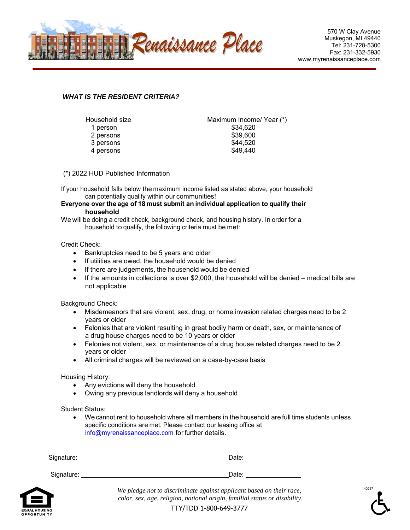

140217

### *WHAT IS THE RESIDENT CRITERIA?*

| Household size | Maximum Income/ Year (*) |
|----------------|--------------------------|
| 1 person       | \$34,620                 |
| 2 persons      | \$39,600                 |
| 3 persons      | \$44,520                 |
| 4 persons      | \$49,440                 |
|                |                          |

(\*) 2022 HUD Published Information

If your household falls below the maximum income listed as stated above, your household can potentially qualify within our communities!

#### **Everyone over the age of 18 must submit an individual application to qualify their household**

We will be doing a credit check, background check, and housing history. In order for a household to qualify, the following criteria must be met:

#### Credit Check:

- Bankruptcies need to be 5 years and older
- If utilities are owed, the household would be denied
- If there are judgements, the household would be denied
- $\bullet$  If the amounts in collections is over \$2,000, the household will be denied medical bills are not applicable

Background Check:

- Misdemeanors that are violent, sex, drug, or home invasion related charges need to be 2 years or older
- Felonies that are violent resulting in great bodily harm or death, sex, or maintenance of a drug house charges need to be 10 years or older
- Felonies not violent, sex, or maintenance of a drug house related charges need to be 2 years or older
- All criminal charges will be reviewed on a case-by-case basis

Housing History:

- Any evictions will deny the household
- Owing any previous landlords will deny a household

Student Status:

 We cannot rent to household where all members in the household are full time students unless specific conditions are met. Please contact our leasing office at info@myrenaissanceplace.com for further details.

| Signature: | Date: |  |  |
|------------|-------|--|--|
| Signature: | Date: |  |  |



*We pledge not to discriminate against applicant based on their race, color, sex, age, religion, national origin, familial status or disability.*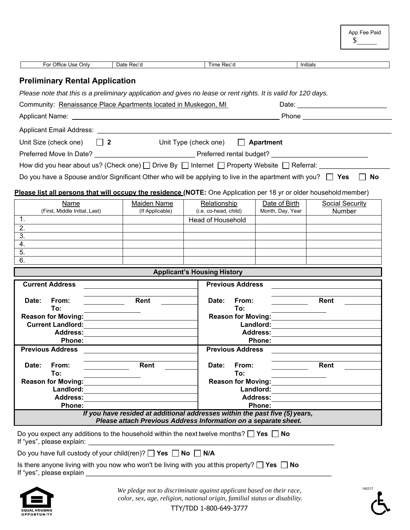|                                                                                                                                                                                                                                      |                                                                                                                                                |                                               |                                   | \$                        |
|--------------------------------------------------------------------------------------------------------------------------------------------------------------------------------------------------------------------------------------|------------------------------------------------------------------------------------------------------------------------------------------------|-----------------------------------------------|-----------------------------------|---------------------------|
| For Office Use Only                                                                                                                                                                                                                  | Date Rec'd                                                                                                                                     | Time Rec'd                                    |                                   | Initials                  |
| <b>Preliminary Rental Application</b>                                                                                                                                                                                                |                                                                                                                                                |                                               |                                   |                           |
| Please note that this is a preliminary application and gives no lease or rent rights. It is valid for 120 days.                                                                                                                      |                                                                                                                                                |                                               |                                   |                           |
| Community: Renaissance Place Apartments located in Muskegon, MI                                                                                                                                                                      |                                                                                                                                                |                                               |                                   |                           |
| Applicant Name: <u>Applicant Name:</u> Applicant Name: Applicant Name: Applicant Name: Applicant Name: Applicant Name                                                                                                                |                                                                                                                                                |                                               |                                   |                           |
| Applicant Email Address: Applicant Email Address:                                                                                                                                                                                    |                                                                                                                                                |                                               |                                   |                           |
| Unit Size (check one)<br>$\vert$   2                                                                                                                                                                                                 |                                                                                                                                                | Unit Type (check one) $\Box$ <b>Apartment</b> |                                   |                           |
| Preferred Move In Date? <b>Manual Preferred Contains a Preferred Contains a Preferred Contains a Preferred Contains a Preferred Contains a Preferred Contains a Preferred Contains a Preferred Contains a Preferred Contains a P</b> |                                                                                                                                                |                                               |                                   |                           |
| How did you hear about us? (Check one) $\Box$ Drive By $\Box$ Internet $\Box$ Property Website $\Box$ Referral:                                                                                                                      |                                                                                                                                                |                                               |                                   |                           |
| Do you have a Spouse and/or Significant Other who will be applying to live in the apartment with you? $\Box$ Yes                                                                                                                     |                                                                                                                                                |                                               |                                   | No                        |
|                                                                                                                                                                                                                                      |                                                                                                                                                |                                               |                                   |                           |
| Please list all persons that will occupy the residence (NOTE: One Application per 18 yr or older household member)                                                                                                                   |                                                                                                                                                |                                               |                                   |                           |
| Name<br>(First, Middle Initial, Last)                                                                                                                                                                                                | Maiden Name<br>(If Applicable)                                                                                                                 | Relationship<br>(i.e. co-head, child)         | Date of Birth<br>Month, Day, Year | Social Security<br>Number |
| 1.                                                                                                                                                                                                                                   |                                                                                                                                                | Head of Household                             |                                   |                           |
| 2.                                                                                                                                                                                                                                   |                                                                                                                                                |                                               |                                   |                           |
| 3.<br>4.                                                                                                                                                                                                                             |                                                                                                                                                |                                               |                                   |                           |
| 5.                                                                                                                                                                                                                                   |                                                                                                                                                |                                               |                                   |                           |
| 6.                                                                                                                                                                                                                                   |                                                                                                                                                |                                               |                                   |                           |
|                                                                                                                                                                                                                                      |                                                                                                                                                | <b>Applicant's Housing History</b>            |                                   |                           |
| <b>Current Address</b>                                                                                                                                                                                                               |                                                                                                                                                | <b>Previous Address</b>                       |                                   |                           |
| Date:<br>From:                                                                                                                                                                                                                       | Rent                                                                                                                                           | Date:<br>From:                                |                                   | Rent                      |
| To:                                                                                                                                                                                                                                  |                                                                                                                                                | To:                                           |                                   |                           |
| <b>Reason for Moving:</b><br><b>Current Landlord:</b>                                                                                                                                                                                |                                                                                                                                                | <b>Reason for Moving:</b>                     | Landlord:                         |                           |
| <b>Address:</b>                                                                                                                                                                                                                      |                                                                                                                                                |                                               | <b>Address:</b>                   |                           |
| Phone:                                                                                                                                                                                                                               |                                                                                                                                                |                                               | Phone:                            |                           |
| <b>Previous Address</b>                                                                                                                                                                                                              |                                                                                                                                                | <b>Previous Address</b>                       |                                   |                           |
| Date:<br>From:                                                                                                                                                                                                                       | Rent                                                                                                                                           | Date:<br>From:                                |                                   | Rent                      |
| To:                                                                                                                                                                                                                                  |                                                                                                                                                | To:                                           |                                   |                           |
| <b>Reason for Moving:</b><br>Landlord:                                                                                                                                                                                               |                                                                                                                                                | <b>Reason for Moving:</b>                     | Landlord:                         |                           |
| <b>Address:</b>                                                                                                                                                                                                                      |                                                                                                                                                |                                               | <b>Address:</b>                   |                           |
| Phone:                                                                                                                                                                                                                               |                                                                                                                                                |                                               | Phone:                            |                           |
|                                                                                                                                                                                                                                      | If you have resided at additional addresses within the past five (5) years,<br>Please attach Previous Address Information on a separate sheet. |                                               |                                   |                           |
| Do you expect any additions to the household within the next twelve months? $\Box$ Yes $\Box$ No                                                                                                                                     |                                                                                                                                                |                                               |                                   |                           |
| If "yes", please explain:                                                                                                                                                                                                            |                                                                                                                                                |                                               |                                   |                           |
| Do you have full custody of your child(ren)? $\Box$ Yes $\Box$ No $\Box$ N/A                                                                                                                                                         |                                                                                                                                                |                                               |                                   |                           |
| Is there anyone living with you now who won't be living with you at this property? $\Box$ Yes $\Box$ No<br>If "yes", please explain                                                                                                  |                                                                                                                                                |                                               |                                   |                           |
|                                                                                                                                                                                                                                      |                                                                                                                                                |                                               |                                   |                           |



 *color, sex, age, religion, national origin, familial status or disability.* 

App Fee Paid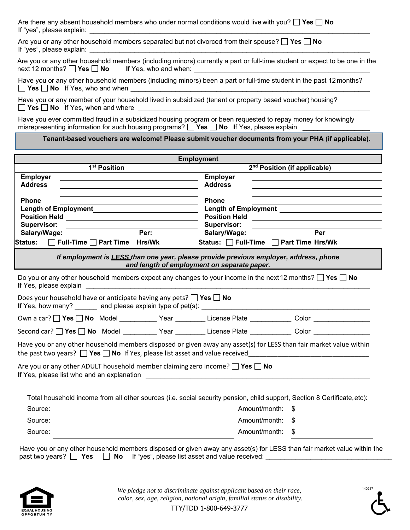| Are there any absent household members who under normal conditions would live with you? $\square$ Yes $\square$ No |  |
|--------------------------------------------------------------------------------------------------------------------|--|
| If "yes", please explain:                                                                                          |  |

| Are you or any other household members separated but not divorced from their spouse? $\Box$ Yes $\Box$ No |  |
|-----------------------------------------------------------------------------------------------------------|--|
| If "yes", please explain:                                                                                 |  |

|                                                            | Are you or any other household members (including minors) currently a part or full-time student or expect to be one in the |  |
|------------------------------------------------------------|----------------------------------------------------------------------------------------------------------------------------|--|
| next 12 months? $\Box$ Yes $\Box$ No If Yes, who and when: |                                                                                                                            |  |

|  |                                           |  | Have you or any other household members (including minors) been a part or full-time student in the past 12 months? |
|--|-------------------------------------------|--|--------------------------------------------------------------------------------------------------------------------|
|  | $\Box$ Yes $\Box$ No If Yes, who and when |  |                                                                                                                    |

Have you or any member of your household lived in subsidized (tenant or property based voucher) housing? **Yes No** If Yes, when and where

Have you ever committed fraud in a subsidized housing program or been requested to repay money for knowingly misrepresenting information for such housing programs?  $\Box$  Yes  $\Box$  No If Yes, please explain

**Tenant-based vouchers are welcome! Please submit voucher documents from your PHA (if applicable).** 

|                                                                                                                                                                                                                |                         | <b>Employment</b>                                                                                                                                                                                                                  |                                          |
|----------------------------------------------------------------------------------------------------------------------------------------------------------------------------------------------------------------|-------------------------|------------------------------------------------------------------------------------------------------------------------------------------------------------------------------------------------------------------------------------|------------------------------------------|
| 1 <sup>st</sup> Position                                                                                                                                                                                       |                         |                                                                                                                                                                                                                                    | 2 <sup>nd</sup> Position (if applicable) |
| Employer                                                                                                                                                                                                       |                         | <b>Employer</b>                                                                                                                                                                                                                    |                                          |
| <b>Address</b>                                                                                                                                                                                                 |                         | <b>Address</b>                                                                                                                                                                                                                     |                                          |
| <b>Phone</b>                                                                                                                                                                                                   |                         | <b>Phone</b>                                                                                                                                                                                                                       |                                          |
| <b>Length of Employment</b>                                                                                                                                                                                    |                         | <b>Length of Employment</b> entries and the set of the set of the set of the set of the set of the set of the set of the set of the set of the set of the set of the set of the set of the set of the set of the set of the set of |                                          |
|                                                                                                                                                                                                                |                         | <b>Position Held</b>                                                                                                                                                                                                               |                                          |
| Supervisor:                                                                                                                                                                                                    | Per: $\qquad \qquad \_$ | Supervisor:                                                                                                                                                                                                                        | Per                                      |
| Salary/Wage: 2008<br>Status: $\Box$ Full-Time $\Box$ Part Time Hrs/Wk                                                                                                                                          |                         | Salary/Wage: <b>Salary/Wage:</b><br>Status: Full-Time Part Time Hrs/Wk                                                                                                                                                             |                                          |
|                                                                                                                                                                                                                |                         |                                                                                                                                                                                                                                    |                                          |
|                                                                                                                                                                                                                |                         | If employment is <b>LESS</b> than one year, please provide previous employer, address, phone<br>and length of employment on separate paper.                                                                                        |                                          |
| Do you or any other household members expect any changes to your income in the next 12 months? $\Box$ Yes $\Box$ No                                                                                            |                         |                                                                                                                                                                                                                                    |                                          |
| Does your household have or anticipate having any pets? $\Box$ Yes $\Box$ No                                                                                                                                   |                         |                                                                                                                                                                                                                                    |                                          |
| Own a car? Nes No Model No Model Near Near Near Nicense Plate Nate Note Note Note Near Near Near Near Near Nea                                                                                                 |                         |                                                                                                                                                                                                                                    |                                          |
| Second car? □ Yes □ No Model _________ Year ________ License Plate __________ Color ______________                                                                                                             |                         |                                                                                                                                                                                                                                    |                                          |
| Have you or any other household members disposed or given away any asset(s) for LESS than fair market value within<br>the past two years? $\Box$ Yes $\Box$ No If Yes, please list asset and value received    |                         |                                                                                                                                                                                                                                    |                                          |
| Are you or any other ADULT household member claiming zero income? $\Box$ Yes $\Box$ No                                                                                                                         |                         |                                                                                                                                                                                                                                    |                                          |
|                                                                                                                                                                                                                |                         |                                                                                                                                                                                                                                    |                                          |
| Total household income from all other sources (i.e. social security pension, child support, Section 8 Certificate, etc):                                                                                       |                         |                                                                                                                                                                                                                                    |                                          |
| Source:                                                                                                                                                                                                        |                         | Amount/month:                                                                                                                                                                                                                      | \$                                       |
| Source:                                                                                                                                                                                                        |                         | Amount/month:                                                                                                                                                                                                                      |                                          |
| Source:                                                                                                                                                                                                        |                         | Amount/month: \$                                                                                                                                                                                                                   |                                          |
| Have you or any other household members disposed or given away any asset(s) for LESS than fair market value within the<br>past two years? $\Box$ Yes $\Box$ No If "yes", please list asset and value received: |                         |                                                                                                                                                                                                                                    |                                          |



*We pledge not to discriminate against applicant based on their race, color, sex, age, religion, national origin, familial status or disability.* 

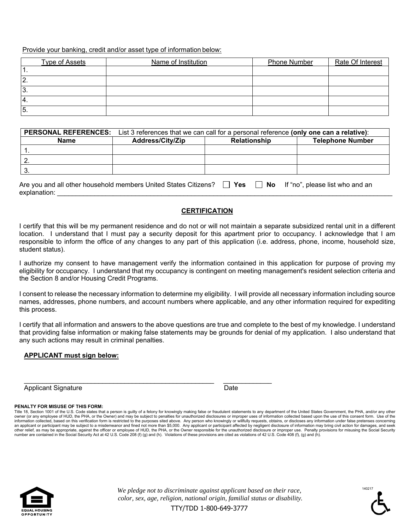Provide your banking, credit and/or asset type of information below:

|          | <b>Type of Assets</b> | Name of Institution | Phone Number | Rate Of Interest |
|----------|-----------------------|---------------------|--------------|------------------|
| . .      |                       |                     |              |                  |
| 2        |                       |                     |              |                  |
| ΙЗ.      |                       |                     |              |                  |
| 14.      |                       |                     |              |                  |
| <b>5</b> |                       |                     |              |                  |

| <b>PERSONAL REFERENCES:</b>                                                                                         | List 3 references that we can call for a personal reference (only one can a relative): |  |  |  |  |  |
|---------------------------------------------------------------------------------------------------------------------|----------------------------------------------------------------------------------------|--|--|--|--|--|
| <b>Name</b>                                                                                                         | <b>Telephone Number</b><br><b>Address/City/Zip</b><br><b>Relationship</b>              |  |  |  |  |  |
|                                                                                                                     |                                                                                        |  |  |  |  |  |
|                                                                                                                     |                                                                                        |  |  |  |  |  |
|                                                                                                                     |                                                                                        |  |  |  |  |  |
| Are you and all other household members United States Citizens?<br>Yes<br>$\Box$ No If "no", please list who and an |                                                                                        |  |  |  |  |  |

|      |  | $\cdot$ $\cdot$ $\cdot$ | . |  |
|------|--|-------------------------|---|--|
| aval |  |                         |   |  |
|      |  |                         |   |  |

### **CERTIFICATION**

I certify that this will be my permanent residence and do not or will not maintain a separate subsidized rental unit in a different location. I understand that I must pay a security deposit for this apartment prior to occupancy. I acknowledge that I am responsible to inform the office of any changes to any part of this application (i.e. address, phone, income, household size, student status).

I authorize my consent to have management verify the information contained in this application for purpose of proving my eligibility for occupancy. I understand that my occupancy is contingent on meeting management's resident selection criteria and the Section 8 and/or Housing Credit Programs.

I consent to release the necessary information to determine my eligibility. I will provide all necessary information including source names, addresses, phone numbers, and account numbers where applicable, and any other information required for expediting this process.

I certify that all information and answers to the above questions are true and complete to the best of my knowledge. I understand that providing false information or making false statements may be grounds for denial of my application. I also understand that any such actions may result in criminal penalties.

### **APPLICANT must sign below:**

Applicant Signature Date Date

\_\_\_\_\_\_\_\_\_\_\_\_\_\_\_\_\_\_\_\_\_\_\_\_\_\_\_\_\_\_\_\_\_\_\_\_\_\_\_\_\_\_\_\_\_\_\_\_\_\_\_ \_\_\_\_\_\_\_\_\_\_\_\_\_

#### **PENALTY FOR MISUSE OF THIS FORM:**

Title 18, Section 1001 of the U.S. Code states that a person is guilty of a felony for knowingly making false or fraudulent statements to any department of the United States Government, the PHA, and/or any other owner (or any employee of HUD, the PHA, or the Owner) and may be subject to penalties for unauthorized disclosures or improper uses of information collected based upon the use of this consent form. Use of the<br>information c an applicant or participant may be subject to a misdemeanor and fined not more than \$5,000. Any applicant or participant affected by negligent disclosure of information may bring civil action for damages, and seek other relief, as may be appropriate, against the officer or employee of HUD, the PHA, or the Owner responsible for the unauthorized disclosure or improper use. Penalty provisions for misusing the Social Security<br>number are



*We pledge not to discriminate against applicant based on their race, color, sex, age, religion, national origin, familial status or disability.* 

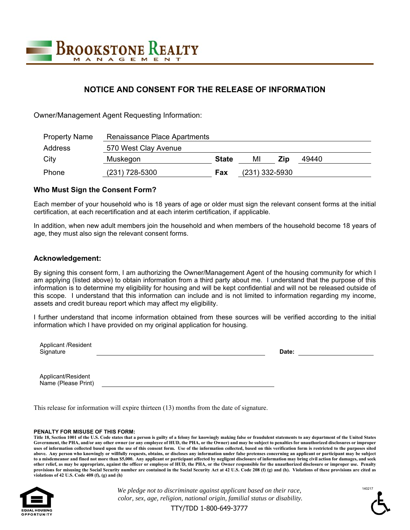

## **NOTICE AND CONSENT FOR THE RELEASE OF INFORMATION**

Owner/Management Agent Requesting Information:

| <b>Property Name</b> | Renaissance Place Apartments |              |                  |     |       |
|----------------------|------------------------------|--------------|------------------|-----|-------|
| Address              | 570 West Clay Avenue         |              |                  |     |       |
| City                 | Muskegon                     | <b>State</b> | МI               | Zip | 49440 |
| Phone                | $(231)$ 728-5300             | Fax          | $(231)$ 332-5930 |     |       |

### **Who Must Sign the Consent Form?**

Each member of your household who is 18 years of age or older must sign the relevant consent forms at the initial certification, at each recertification and at each interim certification, if applicable.

In addition, when new adult members join the household and when members of the household become 18 years of age, they must also sign the relevant consent forms.

### **Acknowledgement:**

By signing this consent form, I am authorizing the Owner/Management Agent of the housing community for which I am applying (listed above) to obtain information from a third party about me. I understand that the purpose of this information is to determine my eligibility for housing and will be kept confidential and will not be released outside of this scope. I understand that this information can include and is not limited to information regarding my income, assets and credit bureau report which may affect my eligibility.

I further understand that income information obtained from these sources will be verified according to the initial information which I have provided on my original application for housing.

| <b>Applicant /Resident</b> |             |  |
|----------------------------|-------------|--|
| Signature                  | ata<br>Jale |  |
|                            |             |  |

Applicant/Resident Name (Please Print)

This release for information will expire thirteen (13) months from the date of signature.

#### **PENALTY FOR MISUSE OF THIS FORM:**

**Title 18, Section 1001 of the U.S. Code states that a person is guilty of a felony for knowingly making false or fraudulent statements to any department of the United States Government, the PHA, and/or any other owner (or any employee of HUD, the PHA, or the Owner) and may be subject to penalties for unauthorized disclosures or improper uses of information collected based upon the use of this consent form. Use of the information collected, based on this verification form is restricted to the purposes sited above. Any person who knowingly or willfully requests, obtains, or discloses any information under false pretenses concerning an applicant or participant may be subject to a misdemeanor and fined not more than \$5,000. Any applicant or participant affected by negligent disclosure of information may bring civil action for damages, and seek other relief, as may be appropriate, against the officer or employee of HUD, the PHA, or the Owner responsible for the unauthorized disclosure or improper use. Penalty provisions for misusing the Social Security number are contained in the Social Security Act at 42 U.S. Code 208 (f) (g) and (h). Violations of these provisions are cited as violations of 42 U.S. Code 408 (f), (g) and (h)** 



*We pledge not to discriminate against applicant based on their race, color, sex, age, religion, national origin, familial status or disability.* 

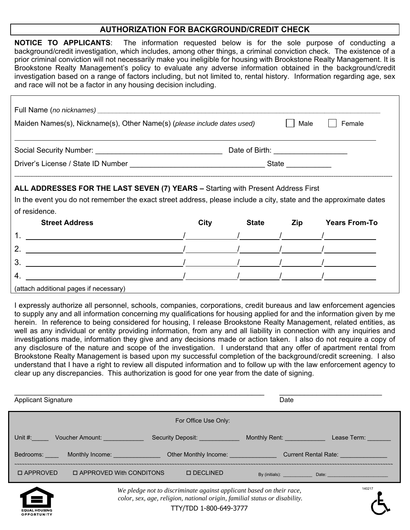### **AUTHORIZATION FOR BACKGROUND/CREDIT CHECK**

| <b>NOTICE TO APPLICANTS</b> : The information requested below is for the sole purpose of conducting a                   |  |  |  |  |
|-------------------------------------------------------------------------------------------------------------------------|--|--|--|--|
| background/credit investigation, which includes, among other things, a criminal conviction check. The existence of a    |  |  |  |  |
| prior criminal conviction will not necessarily make you ineligible for housing with Brookstone Realty Management. It is |  |  |  |  |
| Brookstone Realty Management's policy to evaluate any adverse information obtained in the background/credit             |  |  |  |  |
| investigation based on a range of factors including, but not limited to, rental history. Information regarding age, sex |  |  |  |  |
| and race will not be a factor in any housing decision including.                                                        |  |  |  |  |

| Maiden Names(s), Nickname(s), Other Name(s) (please include dates used)                                                                                                                               |      |                                     | Male | Female               |
|-------------------------------------------------------------------------------------------------------------------------------------------------------------------------------------------------------|------|-------------------------------------|------|----------------------|
|                                                                                                                                                                                                       |      |                                     |      |                      |
|                                                                                                                                                                                                       |      | Date of Birth: ____________________ |      |                      |
|                                                                                                                                                                                                       |      |                                     |      |                      |
| ALL ADDRESSES FOR THE LAST SEVEN (7) YEARS - Starting with Present Address First<br>In the event you do not remember the exact street address, please include a city, state and the approximate dates |      |                                     |      |                      |
| of residence.                                                                                                                                                                                         |      |                                     |      |                      |
| <b>Street Address</b>                                                                                                                                                                                 | City | <b>State</b>                        | Zip  | <b>Years From-To</b> |
|                                                                                                                                                                                                       |      |                                     |      |                      |
|                                                                                                                                                                                                       |      |                                     |      |                      |
| 3.                                                                                                                                                                                                    |      |                                     |      |                      |

(attach additional pages if necessary)

I expressly authorize all personnel, schools, companies, corporations, credit bureaus and law enforcement agencies to supply any and all information concerning my qualifications for housing applied for and the information given by me herein. In reference to being considered for housing, I release Brookstone Realty Management, related entities, as well as any individual or entity providing information, from any and all liability in connection with any inquiries and investigations made, information they give and any decisions made or action taken. I also do not require a copy of any disclosure of the nature and scope of the investigation. I understand that any offer of apartment rental from Brookstone Realty Management is based upon my successful completion of the background/credit screening. I also understand that I have a right to review all disputed information and to follow up with the law enforcement agency to clear up any discrepancies. This authorization is good for one year from the date of signing.

| <b>Applicant Signature</b> |                           | Date                                                                |                                                                                                                |                                                  |
|----------------------------|---------------------------|---------------------------------------------------------------------|----------------------------------------------------------------------------------------------------------------|--------------------------------------------------|
|                            |                           | For Office Use Only:                                                |                                                                                                                |                                                  |
|                            | Unit #: Voucher Amount:   | Security Deposit: <b>Security</b> Deposit:                          | Monthly Rent: All and the Control of the Control of the Control of the Control of the Control of the Control o | Lease Term: Network                              |
|                            | Bedrooms: Monthly Income: | Other Monthly Income: ______________                                |                                                                                                                | <b>Current Rental Rate: Current Rental Rate:</b> |
| <b>D APPROVED</b>          | □ APPROVED With CONDITONS | <b>O DECLINED</b>                                                   | By (initials): <b>Example 20</b>                                                                               | Date: <u>__________________________________</u>  |
|                            |                           | We plades not to discriminate goainst applicant based on their race |                                                                                                                | 140217                                           |



*We pledge not to discriminate against applicant based on their race, color, sex, age, religion, national origin, familial status or disability.*  TTY/TDD 1-800-649-3777

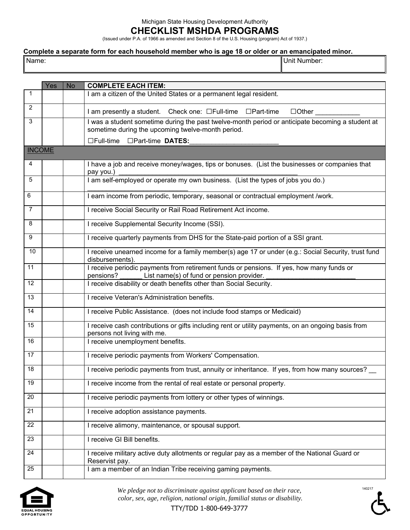### Michigan State Housing Development Authority

### **CHECKLIST MSHDA PROGRAMS**

(Issued under P.A. of 1966 as amended and Section 8 of the U.S. Housing (program) Act of 1937.)

# **Complete a separate form for each household member who is age 18 or older or an emancipated minor.**

|--|--|

Name: Unit Number:

| $\mathbf{1}$  | Yes | <b>No</b> | <b>COMPLETE EACH ITEM:</b>                                                                                                                            |
|---------------|-----|-----------|-------------------------------------------------------------------------------------------------------------------------------------------------------|
|               |     |           | I am a citizen of the United States or a permanent legal resident.                                                                                    |
| 2             |     |           | I am presently a student. Check one: □Full-time □Part-time<br>$\Box$ Other                                                                            |
| 3             |     |           | I was a student sometime during the past twelve-month period or anticipate becoming a student at<br>sometime during the upcoming twelve-month period. |
|               |     |           | □Full-time □Part-time DATES:                                                                                                                          |
| <b>INCOME</b> |     |           |                                                                                                                                                       |
| 4             |     |           | I have a job and receive money/wages, tips or bonuses. (List the businesses or companies that<br>pay you.)                                            |
| 5             |     |           | I am self-employed or operate my own business. (List the types of jobs you do.)                                                                       |
| 6             |     |           | I earn income from periodic, temporary, seasonal or contractual employment /work.                                                                     |
| 7             |     |           | I receive Social Security or Rail Road Retirement Act income.                                                                                         |
| 8             |     |           | I receive Supplemental Security Income (SSI).                                                                                                         |
| 9             |     |           | I receive quarterly payments from DHS for the State-paid portion of a SSI grant.                                                                      |
| 10            |     |           | I receive unearned income for a family member(s) age 17 or under (e.g.: Social Security, trust fund<br>disbursements).                                |
| 11            |     |           | I receive periodic payments from retirement funds or pensions. If yes, how many funds or<br>List name(s) of fund or pension provider.<br>pensions?    |
| 12            |     |           | I receive disability or death benefits other than Social Security.                                                                                    |
| 13            |     |           | I receive Veteran's Administration benefits.                                                                                                          |
| 14            |     |           | I receive Public Assistance. (does not include food stamps or Medicaid)                                                                               |
| 15            |     |           | I receive cash contributions or gifts including rent or utility payments, on an ongoing basis from<br>persons not living with me.                     |
| 16            |     |           | I receive unemployment benefits.                                                                                                                      |
| 17            |     |           | I receive periodic payments from Workers' Compensation.                                                                                               |
| 18            |     |           | I receive periodic payments from trust, annuity or inheritance. If yes, from how many sources?                                                        |
| 19            |     |           | I receive income from the rental of real estate or personal property.                                                                                 |
| 20            |     |           | I receive periodic payments from lottery or other types of winnings.                                                                                  |
| 21            |     |           | I receive adoption assistance payments.                                                                                                               |
| 22            |     |           | I receive alimony, maintenance, or spousal support.                                                                                                   |
| 23            |     |           | I receive GI Bill benefits.                                                                                                                           |
| 24            |     |           | I receive military active duty allotments or regular pay as a member of the National Guard or<br>Reservist pay.                                       |
| 25            |     |           | I am a member of an Indian Tribe receiving gaming payments.                                                                                           |



*We pledge not to discriminate against applicant based on their race, color, sex, age, religion, national origin, familial status or disability.* 

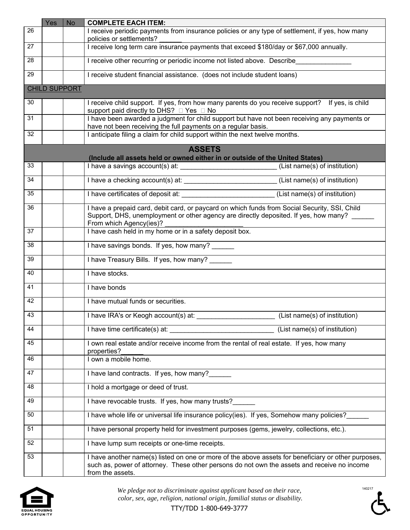|    | Yes                  | <b>No</b> | <b>COMPLETE EACH ITEM:</b>                                                                                                                                                                                             |  |  |
|----|----------------------|-----------|------------------------------------------------------------------------------------------------------------------------------------------------------------------------------------------------------------------------|--|--|
| 26 |                      |           | I receive periodic payments from insurance policies or any type of settlement, if yes, how many<br>policies or settlements?                                                                                            |  |  |
| 27 |                      |           | I receive long term care insurance payments that exceed \$180/day or \$67,000 annually.                                                                                                                                |  |  |
| 28 |                      |           | I receive other recurring or periodic income not listed above. Describe                                                                                                                                                |  |  |
| 29 |                      |           | I receive student financial assistance. (does not include student loans)                                                                                                                                               |  |  |
|    | <b>CHILD SUPPORT</b> |           |                                                                                                                                                                                                                        |  |  |
| 30 |                      |           | I receive child support. If yes, from how many parents do you receive support? If yes, is child<br>support paid directly to DHS? □ Yes □ No                                                                            |  |  |
| 31 |                      |           | I have been awarded a judgment for child support but have not been receiving any payments or<br>have not been receiving the full payments on a regular basis.                                                          |  |  |
| 32 |                      |           | I anticipate filing a claim for child support within the next twelve months.                                                                                                                                           |  |  |
|    |                      |           | <b>ASSETS</b>                                                                                                                                                                                                          |  |  |
|    |                      |           | (Include all assets held or owned either in or outside of the United States)                                                                                                                                           |  |  |
| 33 |                      |           | I have a savings account(s) at: ____________________________(List name(s) of institution)                                                                                                                              |  |  |
| 34 |                      |           | I have a checking account(s) at: ____________________________(List name(s) of institution)                                                                                                                             |  |  |
| 35 |                      |           | (List name(s) of institution)                                                                                                                                                                                          |  |  |
| 36 |                      |           | I have a prepaid card, debit card, or paycard on which funds from Social Security, SSI, Child<br>Support, DHS, unemployment or other agency are directly deposited. If yes, how many?<br>From which Agency(ies)?       |  |  |
| 37 |                      |           | I have cash held in my home or in a safety deposit box.                                                                                                                                                                |  |  |
| 38 |                      |           | I have savings bonds. If yes, how many? ______                                                                                                                                                                         |  |  |
| 39 |                      |           | I have Treasury Bills. If yes, how many?                                                                                                                                                                               |  |  |
| 40 |                      |           | I have stocks.                                                                                                                                                                                                         |  |  |
| 41 |                      |           | I have bonds                                                                                                                                                                                                           |  |  |
| 42 |                      |           | I have mutual funds or securities.                                                                                                                                                                                     |  |  |
| 43 |                      |           | I have IRA's or Keogh account(s) at:<br>(List name(s) of institution)                                                                                                                                                  |  |  |
| 44 |                      |           | I have time certificate(s) at:<br>(List name(s) of institution)                                                                                                                                                        |  |  |
| 45 |                      |           | I own real estate and/or receive income from the rental of real estate. If yes, how many<br>properties?                                                                                                                |  |  |
| 46 |                      |           | I own a mobile home.                                                                                                                                                                                                   |  |  |
| 47 |                      |           | I have land contracts. If yes, how many?                                                                                                                                                                               |  |  |
| 48 |                      |           | I hold a mortgage or deed of trust.                                                                                                                                                                                    |  |  |
| 49 |                      |           | I have revocable trusts. If yes, how many trusts?                                                                                                                                                                      |  |  |
| 50 |                      |           | I have whole life or universal life insurance policy(ies). If yes, Somehow many policies?                                                                                                                              |  |  |
| 51 |                      |           | I have personal property held for investment purposes (gems, jewelry, collections, etc.).                                                                                                                              |  |  |
| 52 |                      |           | I have lump sum receipts or one-time receipts.                                                                                                                                                                         |  |  |
| 53 |                      |           | I have another name(s) listed on one or more of the above assets for beneficiary or other purposes,<br>such as, power of attorney. These other persons do not own the assets and receive no income<br>from the assets. |  |  |



*We pledge not to discriminate against applicant based on their race, color, sex, age, religion, national origin, familial status or disability.* 

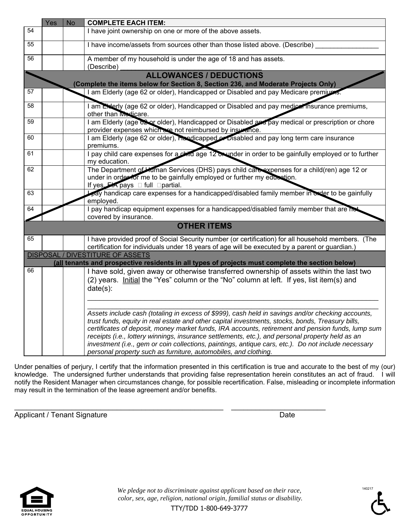|  | I have joint ownership on one or more of the above assets.                                                                                                                                                                                                                                                                                                                                                                                                                                                                                                                               |
|--|------------------------------------------------------------------------------------------------------------------------------------------------------------------------------------------------------------------------------------------------------------------------------------------------------------------------------------------------------------------------------------------------------------------------------------------------------------------------------------------------------------------------------------------------------------------------------------------|
|  |                                                                                                                                                                                                                                                                                                                                                                                                                                                                                                                                                                                          |
|  | I have income/assets from sources other than those listed above. (Describe)                                                                                                                                                                                                                                                                                                                                                                                                                                                                                                              |
|  | A member of my household is under the age of 18 and has assets.<br>(Describe)                                                                                                                                                                                                                                                                                                                                                                                                                                                                                                            |
|  | <b>ALLOWANCES / DEDUCTIONS</b>                                                                                                                                                                                                                                                                                                                                                                                                                                                                                                                                                           |
|  | (Complete the items below for Section 8, Section 236, and Moderate Projects Only)                                                                                                                                                                                                                                                                                                                                                                                                                                                                                                        |
|  | I am Elderly (age 62 or older), Handicapped or Disabled and pay Medicare premiums.                                                                                                                                                                                                                                                                                                                                                                                                                                                                                                       |
|  | I am Exterly (age 62 or older), Handicapped or Disabled and pay medicar insurance premiums,<br>other than Medicare.                                                                                                                                                                                                                                                                                                                                                                                                                                                                      |
|  | I am Elderly (age 62 or older), Handicapped or Disabled and pay medical or prescription or chore<br>provider expenses which are not reimbursed by insurance.                                                                                                                                                                                                                                                                                                                                                                                                                             |
|  | I am Elderly (age 62 or older), Handicapped or Disabled and pay long term care insurance<br>premiums.                                                                                                                                                                                                                                                                                                                                                                                                                                                                                    |
|  | I pay child care expenses for a child age 12 on under in order to be gainfully employed or to further<br>my education.                                                                                                                                                                                                                                                                                                                                                                                                                                                                   |
|  | The Department of Human Services (DHS) pays child calcexpenses for a child(ren) age 12 or<br>under in order for me to be gainfully employed or further my education.<br>If yes $F A$ pays $\Box$ full $\Box$ partial.                                                                                                                                                                                                                                                                                                                                                                    |
|  | pay handicap care expenses for a handicapped/disabled family member in order to be gainfully<br>employed.                                                                                                                                                                                                                                                                                                                                                                                                                                                                                |
|  | I pay handicap equipment expenses for a handicapped/disabled family member that are no<br>covered by insurance.                                                                                                                                                                                                                                                                                                                                                                                                                                                                          |
|  | <b>OTHER ITEMS</b>                                                                                                                                                                                                                                                                                                                                                                                                                                                                                                                                                                       |
|  | I have provided proof of Social Security number (or certification) for all household members. (The<br>certification for individuals under 18 years of age will be executed by a parent or guardian.)                                                                                                                                                                                                                                                                                                                                                                                     |
|  | DISPOSAL / DIVESTITURE OF ASSETS                                                                                                                                                                                                                                                                                                                                                                                                                                                                                                                                                         |
|  | <u>(all</u> tenants and prospective residents in all types of projects must complete the section below)<br>I have sold, given away or otherwise transferred ownership of assets within the last two                                                                                                                                                                                                                                                                                                                                                                                      |
|  | (2) years. Initial the "Yes" column or the "No" column at left. If yes, list item(s) and<br>$date(s)$ :                                                                                                                                                                                                                                                                                                                                                                                                                                                                                  |
|  |                                                                                                                                                                                                                                                                                                                                                                                                                                                                                                                                                                                          |
|  | Assets include cash (totaling in excess of \$999), cash held in savings and/or checking accounts,<br>trust funds, equity in real estate and other capital investments, stocks, bonds, Treasury bills,<br>certificates of deposit, money market funds, IRA accounts, retirement and pension funds, lump sum<br>receipts (i.e., lottery winnings, insurance settlements, etc.), and personal property held as an<br>investment (i.e., gem or coin collections, paintings, antique cars, etc.). Do not include necessary<br>personal property such as furniture, automobiles, and clothing. |
|  |                                                                                                                                                                                                                                                                                                                                                                                                                                                                                                                                                                                          |

Under penalties of perjury, I certify that the information presented in this certification is true and accurate to the best of my (our) knowledge. The undersigned further understands that providing false representation herein constitutes an act of fraud. I will notify the Resident Manager when circumstances change, for possible recertification. False, misleading or incomplete information may result in the termination of the lease agreement and/or benefits.

\_\_\_\_\_\_\_\_\_\_\_\_\_\_\_\_\_\_\_\_\_\_\_\_\_\_\_\_\_\_\_\_\_\_\_\_\_\_\_\_\_\_\_\_\_\_\_\_\_\_\_ \_\_\_\_\_\_\_\_\_\_\_\_\_\_\_\_\_\_\_\_\_\_\_ Applicant / Tenant Signature data and the Date of Date Date



*We pledge not to discriminate against applicant based on their race, color, sex, age, religion, national origin, familial status or disability.* 

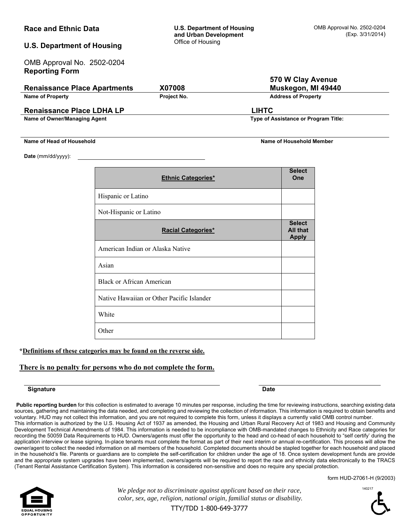| <b>Race and Ethnic Data</b>                         |                                  | <b>U.S. Department of Housing</b><br>and Urban Development |                                                  | OMB Approval No. 2502-0204<br>(Exp. 3/31/2014) |  |
|-----------------------------------------------------|----------------------------------|------------------------------------------------------------|--------------------------------------------------|------------------------------------------------|--|
| <b>U.S. Department of Housing</b>                   |                                  | Office of Housing                                          |                                                  |                                                |  |
| OMB Approval No. 2502-0204<br><b>Reporting Form</b> |                                  |                                                            |                                                  |                                                |  |
|                                                     |                                  |                                                            | 570 W Clay Avenue                                |                                                |  |
| <b>Renaissance Place Apartments</b>                 |                                  | X07008                                                     |                                                  | Muskegon, MI 49440                             |  |
| <b>Name of Property</b>                             |                                  | Project No.                                                | <b>Address of Property</b>                       |                                                |  |
| <b>Renaissance Place LDHA LP</b>                    |                                  |                                                            | <b>LIHTC</b>                                     |                                                |  |
| Name of Owner/Managing Agent                        |                                  |                                                            | Type of Assistance or Program Title:             |                                                |  |
| Name of Head of Household                           |                                  |                                                            | <b>Name of Household Member</b>                  |                                                |  |
| Date (mm/dd/yyyy):                                  |                                  |                                                            |                                                  |                                                |  |
|                                                     |                                  | <b>Ethnic Categories*</b>                                  | <b>Select</b><br>One                             |                                                |  |
|                                                     |                                  |                                                            |                                                  |                                                |  |
|                                                     | Hispanic or Latino               |                                                            |                                                  |                                                |  |
|                                                     | Not-Hispanic or Latino           |                                                            |                                                  |                                                |  |
|                                                     |                                  | <b>Racial Categories*</b>                                  | <b>Select</b><br><b>All that</b><br><b>Apply</b> |                                                |  |
|                                                     | American Indian or Alaska Native |                                                            |                                                  |                                                |  |
|                                                     | Asian                            |                                                            |                                                  |                                                |  |
|                                                     | <b>Black or African American</b> |                                                            |                                                  |                                                |  |
|                                                     |                                  | Native Hawaiian or Other Pacific Islander                  |                                                  |                                                |  |
|                                                     | White                            |                                                            |                                                  |                                                |  |
|                                                     | Other                            |                                                            |                                                  |                                                |  |
|                                                     |                                  |                                                            |                                                  |                                                |  |

### **\*Definitions of these categories may be found on the reverse side.**

### **There is no penalty for persons who do not complete the form.**

#### **Signature Date**

Public reporting burden for this collection is estimated to average 10 minutes per response, including the time for reviewing instructions, searching existing data sources, gathering and maintaining the data needed, and completing and reviewing the collection of information. This information is required to obtain benefits and voluntary. HUD may not collect this information, and you are not required to complete this form, unless it displays a currently valid OMB control number. This information is authorized by the U.S. Housing Act of 1937 as amended, the Housing and Urban Rural Recovery Act of 1983 and Housing and Community Development Technical Amendments of 1984. This information is needed to be incompliance with OMB-mandated changes to Ethnicity and Race categories for recording the 50059 Data Requirements to HUD. Owners/agents must offer the opportunity to the head and co-head of each household to "self certify' during the application interview or lease signing. In-place tenants must complete the format as part of their next interim or annual re-certification. This process will allow the owner/agent to collect the needed information on all members of the household. Completed documents should be stapled together for each household and placed in the household's file. Parents or guardians are to complete the self-certification for children under the age of 18. Once system development funds are provide and the appropriate system upgrades have been implemented, owners/agents will be required to report the race and ethnicity data electronically to the TRACS (Tenant Rental Assistance Certification System). This information is considered non-sensitive and does no require any special protection.





*We pledge not to discriminate against applicant based on their race, color, sex, age, religion, national origin, familial status or disability.*  140217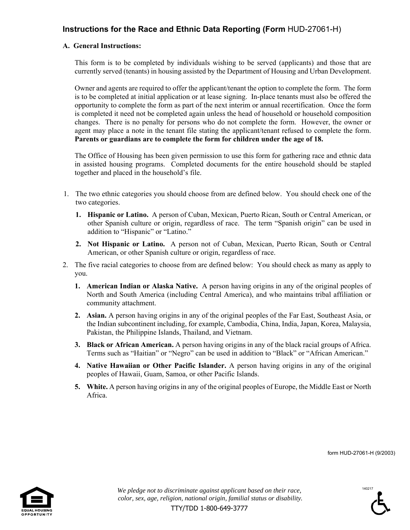## **Instructions for the Race and Ethnic Data Reporting (Form** HUD-27061-H)

### **A. General Instructions:**

This form is to be completed by individuals wishing to be served (applicants) and those that are currently served (tenants) in housing assisted by the Department of Housing and Urban Development.

Owner and agents are required to offer the applicant/tenant the option to complete the form. The form is to be completed at initial application or at lease signing. In-place tenants must also be offered the opportunity to complete the form as part of the next interim or annual recertification. Once the form is completed it need not be completed again unless the head of household or household composition changes. There is no penalty for persons who do not complete the form. However, the owner or agent may place a note in the tenant file stating the applicant/tenant refused to complete the form. **Parents or guardians are to complete the form for children under the age of 18.** 

The Office of Housing has been given permission to use this form for gathering race and ethnic data in assisted housing programs. Completed documents for the entire household should be stapled together and placed in the household's file.

- 1. The two ethnic categories you should choose from are defined below. You should check one of the two categories.
	- **1. Hispanic or Latino.** A person of Cuban, Mexican, Puerto Rican, South or Central American, or other Spanish culture or origin, regardless of race. The term "Spanish origin" can be used in addition to "Hispanic" or "Latino."
	- **2. Not Hispanic or Latino.** A person not of Cuban, Mexican, Puerto Rican, South or Central American, or other Spanish culture or origin, regardless of race.
- 2. The five racial categories to choose from are defined below: You should check as many as apply to you.
	- **1. American Indian or Alaska Native.** A person having origins in any of the original peoples of North and South America (including Central America), and who maintains tribal affiliation or community attachment.
	- **2. Asian.** A person having origins in any of the original peoples of the Far East, Southeast Asia, or the Indian subcontinent including, for example, Cambodia, China, India, Japan, Korea, Malaysia, Pakistan, the Philippine Islands, Thailand, and Vietnam.
	- **3. Black or African American.** A person having origins in any of the black racial groups of Africa. Terms such as "Haitian" or "Negro" can be used in addition to "Black" or "African American."
	- **4. Native Hawaiian or Other Pacific Islander.** A person having origins in any of the original peoples of Hawaii, Guam, Samoa, or other Pacific Islands.
	- **5. White.** A person having origins in any of the original peoples of Europe, the Middle East or North Africa.

form HUD-27061-H (9/2003)